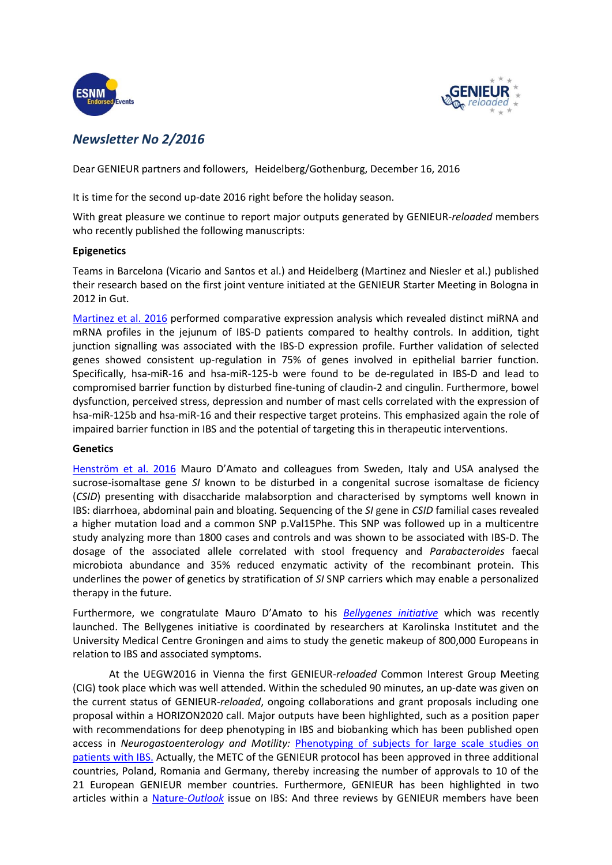



## *Newsletter No 2/2016*

Dear GENIEUR partners and followers, Heidelberg/Gothenburg, December 16, 2016

It is time for the second up-date 2016 right before the holiday season.

With great pleasure we continue to report major outputs generated by GENIEUR-*reloaded* members who recently published the following manuscripts:

## **Epigenetics**

Teams in Barcelona (Vicario and Santos et al.) and Heidelberg (Martinez and Niesler et al.) published their research based on the first joint venture initiated at the GENIEUR Starter Meeting in Bologna in 2012 in Gut.

[Martinez et al.](http://gut.bmj.com/content/gutjnl/early/2017/01/12/gutjnl-2016-311477.full.pdf) 2016 performed comparative expression analysis which revealed distinct miRNA and mRNA profiles in the jejunum of IBS-D patients compared to healthy controls. In addition, tight junction signalling was associated with the IBS-D expression profile. Further validation of selected genes showed consistent up-regulation in 75% of genes involved in epithelial barrier function. Specifically, hsa-miR-16 and hsa-miR-125-b were found to be de-regulated in IBS-D and lead to compromised barrier function by disturbed fine-tuning of claudin-2 and cingulin. Furthermore, bowel dysfunction, perceived stress, depression and number of mast cells correlated with the expression of hsa-miR-125b and hsa-miR-16 and their respective target proteins. This emphasized again the role of impaired barrier function in IBS and the potential of targeting this in therapeutic interventions.

## **Genetics**

[Henström et al. 2016](http://gut.bmj.com/content/early/2016/11/20/gutjnl-2016-312456.full.pdf+html?sid=bea4b1c5-84e6-4760-82d5-2bc40784ed5b) Mauro D'Amato and colleagues from Sweden, Italy and USA analysed the sucrose-isomaltase gene *SI* known to be disturbed in a congenital sucrose isomaltase de ficiency (*CSID*) presenting with disaccharide malabsorption and characterised by symptoms well known in IBS: diarrhoea, abdominal pain and bloating. Sequencing of the *SI* gene in *CSID* familial cases revealed a higher mutation load and a common SNP p.Val15Phe. This SNP was followed up in a multicentre study analyzing more than 1800 cases and controls and was shown to be associated with IBS-D. The dosage of the associated allele correlated with stool frequency and *Parabacteroides* faecal microbiota abundance and 35% reduced enzymatic activity of the recombinant protein. This underlines the power of genetics by stratification of *SI* SNP carriers which may enable a personalized therapy in the future.

Furthermore, we congratulate Mauro D'Amato to his *[Bellygenes initiative](https://www.eurekalert.org/pub_releases/2016-10/ki-ilg102616.php)* which was recently launched. The Bellygenes initiative is coordinated by researchers at Karolinska Institutet and the University Medical Centre Groningen and aims to study the genetic makeup of 800,000 Europeans in relation to IBS and associated symptoms.

At the UEGW2016 in Vienna the first GENIEUR-*reloaded* Common Interest Group Meeting (CIG) took place which was well attended. Within the scheduled 90 minutes, an up-date was given on the current status of GENIEUR-*reloaded*, ongoing collaborations and grant proposals including one proposal within a HORIZON2020 call. Major outputs have been highlighted, such as a position paper with recommendations for deep phenotyping in IBS and biobanking which has been published open access in *Neurogastoenterology and Motility:* [Phenotyping of subjects for large scale studies on](http://www.ncbi.nlm.nih.gov/pubmed/27319981)  [patients with IBS.](http://www.ncbi.nlm.nih.gov/pubmed/27319981) Actually, the METC of the GENIEUR protocol has been approved in three additional countries, Poland, Romania and Germany, thereby increasing the number of approvals to 10 of the 21 European GENIEUR member countries. Furthermore, GENIEUR has been highlighted in two articles within a [Nature-](http://www.nature.com/nature/outlook/ibs/)*Outlook* issue on IBS: And three reviews by GENIEUR members have been